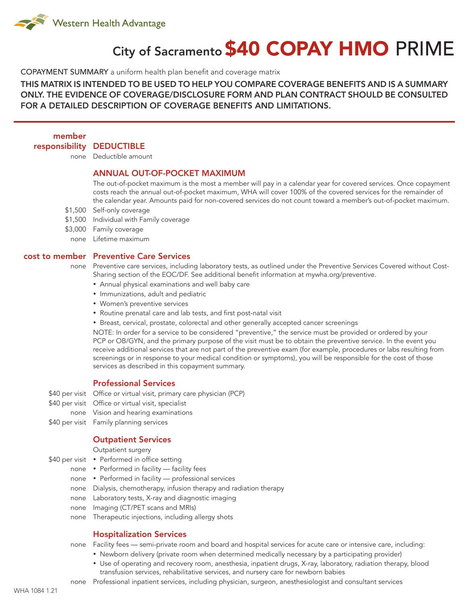

# City of Sacramento \$40 COPAY HMO PRIME

COPAYMENT SUMMARY a uniform health plan benefit and coverage matrix

THIS MATRIX IS INTENDED TO BE USED TO HELP YOU COMPARE COVERAGE BENEFITS AND IS A SUMMARY ONLY. THE EVIDENCE OF COVERAGE/DISCLOSURE FORM AND PLAN CONTRACT SHOULD BE CONSULTED FOR A DETAILED DESCRIPTION OF COVERAGE BENEFITS AND LIMITATIONS.

member

responsibility DEDUCTIBLE

none Deductible amount

# ANNUAL OUT-OF-POCKET MAXIMUM

The out-of-pocket maximum is the most a member will pay in a calendar year for covered services. Once copayment costs reach the annual out-of-pocket maximum, WHA will cover 100% of the covered services for the remainder of the calendar year. Amounts paid for non-covered services do not count toward a member's out-of-pocket maximum.

- \$1,500 Self-only coverage
- \$1,500 Individual with Family coverage
- \$3,000 Family coverage
	- none Lifetime maximum

#### cost to member Preventive Care Services

- none Preventive care services, including laboratory tests, as outlined under the Preventive Services Covered without Cost-Sharing section of the EOC/DF. See additional benefit information at mywha.org/preventive.
	- Annual physical examinations and well baby care
	- • Immunizations, adult and pediatric
	- • Women's preventive services
	- Routine prenatal care and lab tests, and first post-natal visit
	- Breast, cervical, prostate, colorectal and other generally accepted cancer screenings

NOTE: In order for a service to be considered "preventive," the service must be provided or ordered by your PCP or OB/GYN, and the primary purpose of the visit must be to obtain the preventive service. In the event you receive additional services that are not part of the preventive exam (for example, procedures or labs resulting from screenings or in response to your medical condition or symptoms), you will be responsible for the cost of those services as described in this copayment summary.

# Professional Services

\$40 per visit Office or virtual visit, primary care physician (PCP)

- \$40 per visit Office or virtual visit, specialist
- none Vision and hearing examinations
- \$40 per visit Family planning services

#### Outpatient Services

Outpatient surgery

- \$40 per visit Performed in office setting
	- none Performed in facility facility fees
	- none Performed in facility professional services
	- none Dialysis, chemotherapy, infusion therapy and radiation therapy
	- none Laboratory tests, X-ray and diagnostic imaging
	- none Imaging (CT/PET scans and MRIs)
	- none Therapeutic injections, including allergy shots

## Hospitalization Services

none Facility fees — semi-private room and board and hospital services for acute care or intensive care, including:

- Newborn delivery (private room when determined medically necessary by a participating provider)
- • Use of operating and recovery room, anesthesia, inpatient drugs, X-ray, laboratory, radiation therapy, blood transfusion services, rehabilitative services, and nursery care for newborn babies
- none Professional inpatient services, including physician, surgeon, anesthesiologist and consultant services